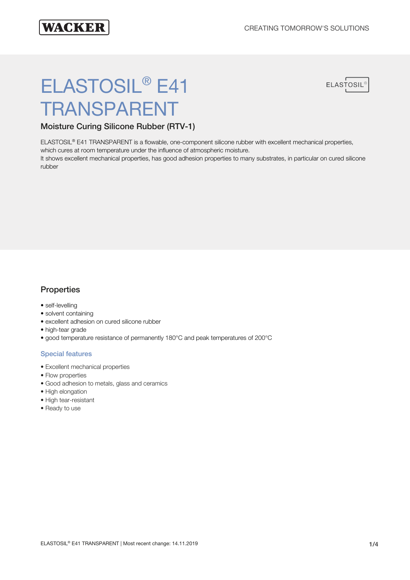

# ELASTOSIL<sup>®</sup> E41 TRANSPARENT



# Moisture Curing Silicone Rubber (RTV-1)

ELASTOSIL® E41 TRANSPARENT is a flowable, one-component silicone rubber with excellent mechanical properties, which cures at room temperature under the influence of atmospheric moisture.

It shows excellent mechanical properties, has good adhesion properties to many substrates, in particular on cured silicone rubber

# **Properties**

- self-levelling
- solvent containing
- excellent adhesion on cured silicone rubber
- high-tear grade
- good temperature resistance of permanently 180°C and peak temperatures of 200°C

## Special features

- Excellent mechanical properties
- Flow properties
- Good adhesion to metals, glass and ceramics
- High elongation
- High tear-resistant
- Ready to use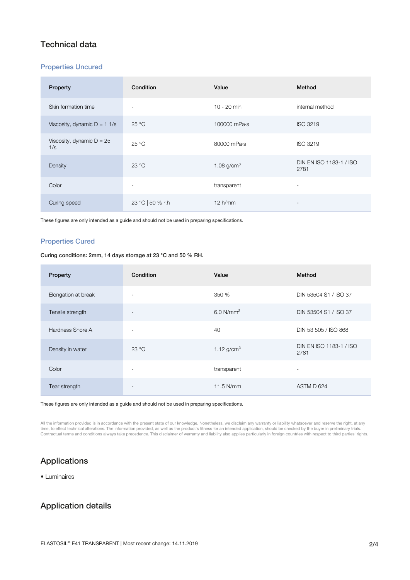## Technical data

### Properties Uncured

| Property                           | Condition                | Value           | Method                          |
|------------------------------------|--------------------------|-----------------|---------------------------------|
| Skin formation time                | $\overline{\phantom{a}}$ | $10 - 20$ min   | internal method                 |
| Viscosity, dynamic $D = 11/s$      | $25^{\circ}$ C           | 100000 mPa·s    | ISO 3219                        |
| Viscosity, dynamic $D = 25$<br>1/s | $25^{\circ}$ C           | 80000 mPa·s     | ISO 3219                        |
| Density                            | 23 °C                    | 1.08 $g/cm^{3}$ | DIN EN ISO 1183-1 / ISO<br>2781 |
| Color                              | $\overline{\phantom{a}}$ | transparent     | $\overline{\phantom{a}}$        |
| Curing speed                       | 23 °C   50 % r.h         | 12 h/mm         | $\overline{\phantom{a}}$        |

These figures are only intended as a guide and should not be used in preparing specifications.

### Properties Cured

Curing conditions: 2mm, 14 days storage at 23 °C and 50 % RH.

| Property            | Condition                | Value                 | Method                          |
|---------------------|--------------------------|-----------------------|---------------------------------|
| Elongation at break | $\overline{\phantom{a}}$ | 350 %                 | DIN 53504 S1 / ISO 37           |
| Tensile strength    | $\overline{\phantom{a}}$ | 6.0 N/mm <sup>2</sup> | DIN 53504 S1 / ISO 37           |
| Hardness Shore A    | $\overline{\phantom{a}}$ | 40                    | DIN 53 505 / ISO 868            |
| Density in water    | 23 °C                    | 1.12 $g/cm^{3}$       | DIN EN ISO 1183-1 / ISO<br>2781 |
| Color               | $\overline{\phantom{a}}$ | transparent           | $\overline{\phantom{a}}$        |
| Tear strength       | $\overline{\phantom{a}}$ | 11.5 N/mm             | ASTM D 624                      |

These figures are only intended as a guide and should not be used in preparing specifications.

All the information provided is in accordance with the present state of our knowledge. Nonetheless, we disclaim any warranty or liability whatsoever and reserve the right, at any<br>time, to effect technical alterations. The

# Applications

• Luminaires

# Application details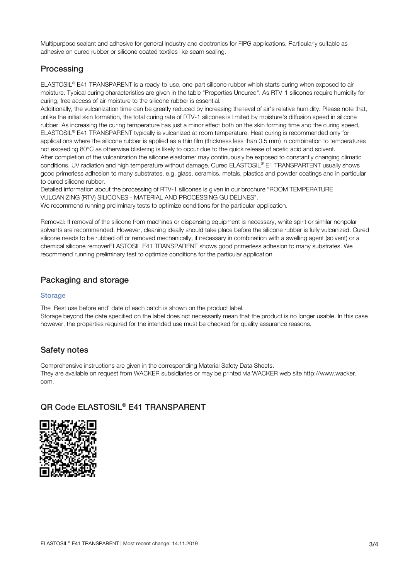Multipurpose sealant and adhesive for general industry and electronics for FIPG applications. Particularly suitable as adhesive on cured rubber or silicone coated textiles like seam sealing.

# **Processing**

ELASTOSIL® E41 TRANSPARENT is a ready-to-use, one-part silicone rubber which starts curing when exposed to air moisture. Typical curing characteristics are given in the table "Properties Uncured". As RTV-1 silicones require humidity for curing, free access of air moisture to the silicone rubber is essential.

Additionally, the vulcanization time can be greatly reduced by increasing the level of air's relative humidity. Please note that, unlike the initial skin formation, the total curing rate of RTV-1 silicones is limited by moisture's diffusion speed in silicone rubber. As increasing the curing temperature has just a minor effect both on the skin forming time and the curing speed, ELASTOSIL® E41 TRANSPARENT typically is vulcanized at room temperature. Heat curing is recommended only for applications where the silicone rubber is applied as a thin film (thickness less than 0.5 mm) in combination to temperatures not exceeding 80°C as otherwise blistering is likely to occur due to the quick release of acetic acid and solvent. After completion of the vulcanization the silicone elastomer may continuously be exposed to constantly changing climatic conditions, UV radiation and high temperature without damage. Cured ELASTOSIL® E1 TRANSPARTENT usually shows good primerless adhesion to many substrates, e.g. glass, ceramics, metals, plastics and powder coatings and in particular to cured silicone rubber.

Detailed information about the processing of RTV-1 silicones is given in our brochure "ROOM TEMPERATURE VULCANIZING (RTV) SILICONES - MATERIAL AND PROCESSING GUIDELINES".

We recommend running preliminary tests to optimize conditions for the particular application.

Removal: If removal of the silicone from machines or dispensing equipment is necessary, white spirit or similar nonpolar solvents are recommended. However, cleaning ideally should take place before the silicone rubber is fully vulcanized. Cured silicone needs to be rubbed off or removed mechanically, if necessary in combination with a swelling agent (solvent) or a chemical silicone removerELASTOSIL E41 TRANSPARENT shows good primerless adhesion to many substrates. We recommend running preliminary test to optimize conditions for the particular application

# Packaging and storage

## **Storage**

The 'Best use before end' date of each batch is shown on the product label.

Storage beyond the date specified on the label does not necessarily mean that the product is no longer usable. In this case however, the properties required for the intended use must be checked for quality assurance reasons.

## Safety notes

Comprehensive instructions are given in the corresponding Material Safety Data Sheets. They are available on request from WACKER subsidiaries or may be printed via WACKER web site http://www.wacker. com.

# QR Code ELASTOSIL® E41 TRANSPARENT